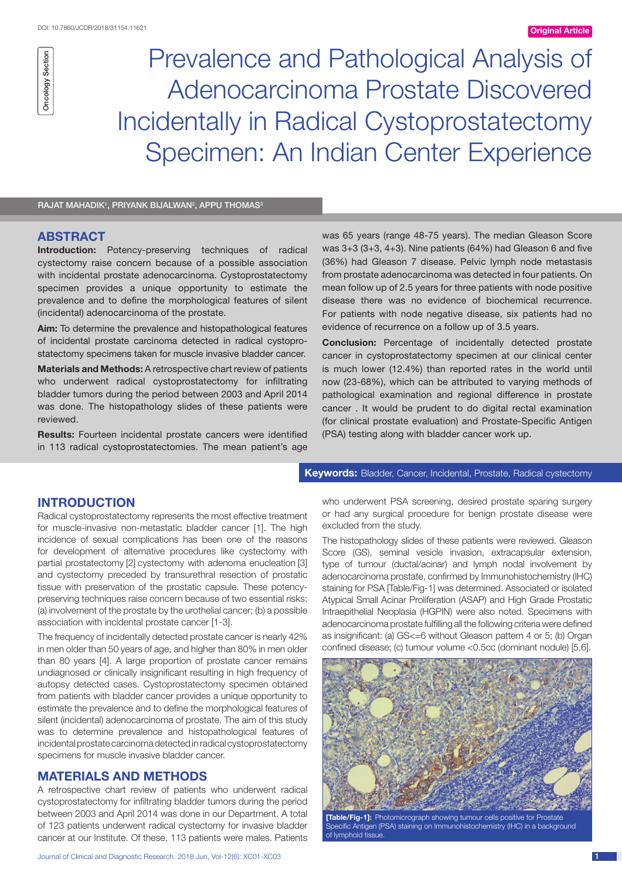Prevalence and Pathological Analysis of Adenocarcinoma Prostate Discovered Incidentally in Radical Cystoprostatectomy Specimen: An Indian Center Experience

RAJAT MAHADIK<sup>1</sup>, PRIYANK BIJALWAN<sup>2</sup>, APPU THOMAS<sup>3</sup>

# **ABSTRACT**

**Introduction:** Potency-preserving techniques of radical cystectomy raise concern because of a possible association with incidental prostate adenocarcinoma. Cystoprostatectomy specimen provides a unique opportunity to estimate the prevalence and to define the morphological features of silent (incidental) adenocarcinoma of the prostate.

**Aim:** To determine the prevalence and histopathological features of incidental prostate carcinoma detected in radical cystoprostatectomy specimens taken for muscle invasive bladder cancer.

**Materials and Methods:** A retrospective chart review of patients who underwent radical cystoprostatectomy for infiltrating bladder tumors during the period between 2003 and April 2014 was done. The histopathology slides of these patients were reviewed.

**Results:** Fourteen incidental prostate cancers were identified in 113 radical cystoprostatectomies. The mean patient's age was 65 years (range 48-75 years). The median Gleason Score was 3+3 (3+3, 4+3). Nine patients (64%) had Gleason 6 and five (36%) had Gleason 7 disease. Pelvic lymph node metastasis from prostate adenocarcinoma was detected in four patients. On mean follow up of 2.5 years for three patients with node positive disease there was no evidence of biochemical recurrence. For patients with node negative disease, six patients had no evidence of recurrence on a follow up of 3.5 years.

**Conclusion:** Percentage of incidentally detected prostate cancer in cystoprostatectomy specimen at our clinical center is much lower (12.4%) than reported rates in the world until now (23-68%), which can be attributed to varying methods of pathological examination and regional difference in prostate cancer . It would be prudent to do digital rectal examination (for clinical prostate evaluation) and Prostate-Specific Antigen (PSA) testing along with bladder cancer work up.

## **INTRODUCTION**

Radical cystoprostatectomy represents the most effective treatment for muscle-invasive non-metastatic bladder cancer [1]. The high incidence of sexual complications has been one of the reasons for development of alternative procedures like cystectomy with partial prostatectomy [2] cystectomy with adenoma enucleation [3] and cystectomy preceded by transurethral resection of prostatic tissue with preservation of the prostatic capsule. These potencypreserving techniques raise concern because of two essential risks: (a) involvement of the prostate by the urothelial cancer; (b) a possible association with incidental prostate cancer [1-3].

The frequency of incidentally detected prostate cancer is nearly 42% in men older than 50 years of age, and higher than 80% in men older than 80 years [4]. A large proportion of prostate cancer remains undiagnosed or clinically insignificant resulting in high frequency of autopsy detected cases. Cystoprostatectomy specimen obtained from patients with bladder cancer provides a unique opportunity to estimate the prevalence and to define the morphological features of silent (incidental) adenocarcinoma of prostate. The aim of this study was to determine prevalence and histopathological features of incidental prostate carcinoma detected in radical cystoprostatectomy specimens for muscle invasive bladder cancer.

### **MATERIALS AND METHODS**

A retrospective chart review of patients who underwent radical cystoprostatectomy for infiltrating bladder tumors during the period between 2003 and April 2014 was done in our Department. A total of 123 patients underwent radical cystectomy for invasive bladder cancer at our Institute. Of these, 113 patients were males. Patients

#### **Keywords:** Bladder, Cancer, Incidental, Prostate, Radical cystectomy

who underwent PSA screening, desired prostate sparing surgery or had any surgical procedure for benign prostate disease were excluded from the study.

The histopathology slides of these patients were reviewed. Gleason Score (GS), seminal vesicle invasion, extracapsular extension, type of tumour (ductal/acinar) and lymph nodal involvement by adenocarcinoma prostate, confirmed by Immunohistochemistry (IHC) staining for PSA [Table/Fig-1] was determined. Associated or isolated Atypical Small Acinar Proliferation (ASAP) and High Grade Prostatic Intraepithelial Neoplasia (HGPIN) were also noted. Specimens with adenocarcinoma prostate fulfilling all the following criteria were defined as insignificant: (a) GS<=6 without Gleason pattern 4 or 5; (b) Organ confined disease; (c) tumour volume <0.5cc (dominant nodule) [5,6].



Specific Antigen (PSA) staining on Immunohistochemistry (IHC) in a background of lymphoid tissue.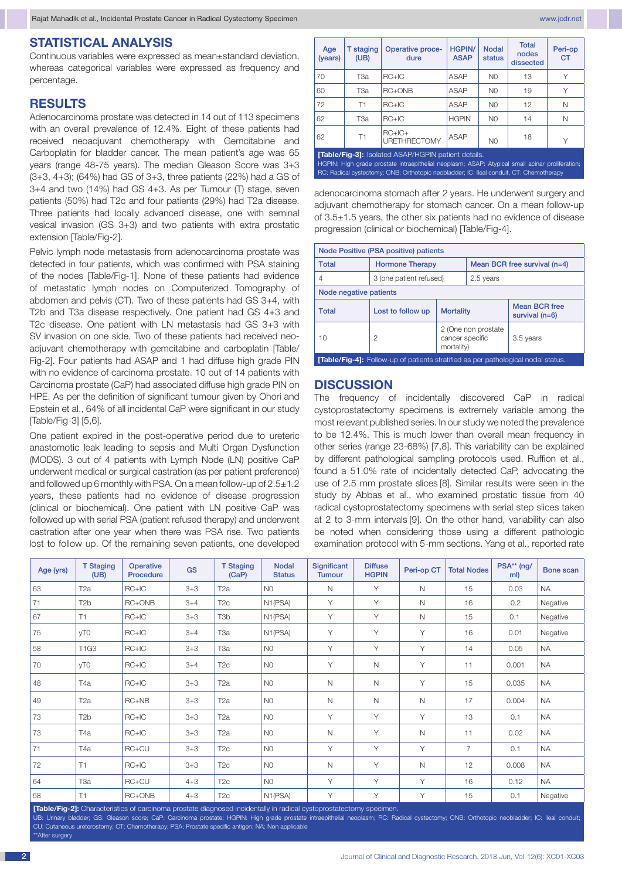#### **STATISTICAL ANALYSIS**

Continuous variables were expressed as mean±standard deviation, whereas categorical variables were expressed as frequency and percentage.

#### **RESULTS**

Adenocarcinoma prostate was detected in 14 out of 113 specimens with an overall prevalence of 12.4%. Eight of these patients had received neoadjuvant chemotherapy with Gemcitabine and Carboplatin for bladder cancer. The mean patient's age was 65 years (range 48-75 years). The median Gleason Score was 3+3 (3+3, 4+3); (64%) had GS of 3+3, three patients (22%) had a GS of 3+4 and two (14%) had GS 4+3. As per Tumour (T) stage, seven patients (50%) had T2c and four patients (29%) had T2a disease. Three patients had locally advanced disease, one with seminal vesical invasion (GS 3+3) and two patients with extra prostatic extension [Table/Fig-2].

Pelvic lymph node metastasis from adenocarcinoma prostate was detected in four patients, which was confirmed with PSA staining of the nodes [Table/Fig-1]. None of these patients had evidence of metastatic lymph nodes on Computerized Tomography of abdomen and pelvis (CT). Two of these patients had GS 3+4, with T2b and T3a disease respectively. One patient had GS 4+3 and T2c disease. One patient with LN metastasis had GS 3+3 with SV invasion on one side. Two of these patients had received neoadjuvant chemotherapy with gemcitabine and carboplatin [Table/ Fig-2]. Four patients had ASAP and 1 had diffuse high grade PIN with no evidence of carcinoma prostate. 10 out of 14 patients with Carcinoma prostate (CaP) had associated diffuse high grade PIN on HPE. As per the definition of significant tumour given by Ohori and Epstein et al., 64% of all incidental CaP were significant in our study [Table/Fig-3] [5,6].

One patient expired in the post-operative period due to ureteric anastomotic leak leading to sepsis and Multi Organ Dysfunction (MODS). 3 out of 4 patients with Lymph Node (LN) positive CaP underwent medical or surgical castration (as per patient preference) and followed up 6 monthly with PSA. On a mean follow-up of 2.5±1.2 years, these patients had no evidence of disease progression (clinical or biochemical). One patient with LN positive CaP was followed up with serial PSA (patient refused therapy) and underwent castration after one year when there was PSA rise. Two patients lost to follow up. Of the remaining seven patients, one developed

| Age<br>(years)                                                                                                                                                                                                                                           | <b>T</b> staging<br>(UB) | Operative proce-<br>dure        | <b>HGPIN/</b><br><b>ASAP</b> | <b>Nodal</b><br>status | <b>Total</b><br>nodes<br>dissected | Peri-op<br><b>CT</b> |  |
|----------------------------------------------------------------------------------------------------------------------------------------------------------------------------------------------------------------------------------------------------------|--------------------------|---------------------------------|------------------------------|------------------------|------------------------------------|----------------------|--|
| 70                                                                                                                                                                                                                                                       | T3a                      | $RC+IC$                         | ASAP                         | N <sub>0</sub>         | 13                                 | ٧                    |  |
| 60                                                                                                                                                                                                                                                       | ТЗа                      | RC+ONB                          | ASAP                         | N <sub>0</sub>         | 19                                 | Υ                    |  |
| 72                                                                                                                                                                                                                                                       | T1                       | $RC+IC$                         | ASAP                         | N <sub>0</sub>         | 12                                 | N                    |  |
| 62                                                                                                                                                                                                                                                       | ТЗа                      | $RC+IC$                         | <b>HGPIN</b>                 | N <sub>0</sub>         | 14                                 | N                    |  |
| 62                                                                                                                                                                                                                                                       | T1                       | $RC+IC+$<br><b>URETHRECTOMY</b> | ASAP                         | N <sub>0</sub>         | 18                                 | Υ                    |  |
| <b>[Table/Fig-3]:</b> Isolated ASAP/HGPIN patient details.<br>HGPIN: High grade prostate intraepithelial neoplasm; ASAP: Atypical small acinar proliferation;<br>RC: Radical cystectomy; ONB: Orthotopic neobladder; IC: Ileal conduit, CT: Chemotherapy |                          |                                 |                              |                        |                                    |                      |  |

adenocarcinoma stomach after 2 years. He underwent surgery and adjuvant chemotherapy for stomach cancer. On a mean follow-up of 3.5±1.5 years, the other six patients had no evidence of disease progression (clinical or biochemical) [Table/Fig-4].

| Node Positive (PSA positive) patients |                         |                                                       |                              |                                          |  |  |  |
|---------------------------------------|-------------------------|-------------------------------------------------------|------------------------------|------------------------------------------|--|--|--|
| <b>Total</b>                          | <b>Hormone Therapy</b>  |                                                       | Mean BCR free survival (n=4) |                                          |  |  |  |
| 4                                     | 3 (one patient refused) |                                                       | 2.5 years                    |                                          |  |  |  |
| Node negative patients                |                         |                                                       |                              |                                          |  |  |  |
| <b>Total</b>                          | Lost to follow up       | <b>Mortality</b>                                      |                              | <b>Mean BCR free</b><br>survival $(n=6)$ |  |  |  |
| 10                                    | 2                       | 2 (One non prostate)<br>cancer specific<br>mortality) |                              | 3.5 years                                |  |  |  |

**[Table/Fig-4]:** Follow-up of patients stratified as per pathological nodal status.

#### **DISCUSSION**

The frequency of incidentally discovered CaP in radical cystoprostatectomy specimens is extremely variable among the most relevant published series. In our study we noted the prevalence to be 12.4%. This is much lower than overall mean frequency in other series (range 23-68%) [7,8]. This variability can be explained by different pathological sampling protocols used. Ruffion et al., found a 51.0% rate of incidentally detected CaP, advocating the use of 2.5 mm prostate slices [8]. Similar results were seen in the study by Abbas et al., who examined prostatic tissue from 40 radical cystoprostatectomy specimens with serial step slices taken at 2 to 3-mm intervals [9]. On the other hand, variability can also be noted when considering those using a different pathologic examination protocol with 5-mm sections. Yang et al., reported rate

| Age (yrs)                                      | <b>T Staging</b><br>(UB) | <b>Operative</b><br>Procedure | GS      | <b>T Staging</b><br>(CaP) | <b>Nodal</b><br><b>Status</b> | Significant<br><b>Tumour</b> | <b>Diffuse</b><br><b>HGPIN</b> | Peri-op CT   | <b>Total Nodes</b> | PSA** (ng/<br>ml) | Bone scan |
|------------------------------------------------|--------------------------|-------------------------------|---------|---------------------------|-------------------------------|------------------------------|--------------------------------|--------------|--------------------|-------------------|-----------|
| 63                                             | T <sub>2a</sub>          | $RC+IC$                       | $3 + 3$ | T <sub>2</sub> a          | N <sub>0</sub>                | N                            | Y                              | N            | 15                 | 0.03              | <b>NA</b> |
| 71                                             | T <sub>2</sub> b         | RC+ONB                        | $3 + 4$ | T <sub>2c</sub>           | N1(PSA)                       | Υ                            | Y                              | $\mathsf{N}$ | 16                 | 0.2               | Negative  |
| 67                                             | T1                       | $RC+IC$                       | $3 + 3$ | T3b                       | N <sub>1</sub> (PSA)          | Y                            | Y                              | $\mathsf{N}$ | 15                 | 0.1               | Negative  |
| 75                                             | yT0                      | $RC+IC$                       | $3 + 4$ | ТЗа                       | N1(PSA)                       | Y                            | Y                              | Y            | 16                 | 0.01              | Negative  |
| 58                                             | T1G3                     | $RC+IC$                       | $3 + 3$ | T <sub>3a</sub>           | N <sub>0</sub>                | Υ                            | Y                              | Y            | 14                 | 0.05              | <b>NA</b> |
| 70                                             | yT0                      | $RC+IC$                       | $3 + 4$ | T <sub>2c</sub>           | N <sub>0</sub>                | Y                            | $\mathsf{N}$                   | Υ            | 11                 | 0.001             | <b>NA</b> |
| 48                                             | T4a                      | $RC+IC$                       | $3 + 3$ | T2a                       | N <sub>0</sub>                | $\mathsf{N}$                 | $\mathsf{N}$                   | Y            | 15                 | 0.035             | <b>NA</b> |
| 49                                             | T <sub>2a</sub>          | $RC+NB$                       | $3 + 3$ | T2a                       | N <sub>0</sub>                | $\mathsf{N}$                 | N                              | N            | 17                 | 0.004             | <b>NA</b> |
| 73                                             | T <sub>2</sub> b         | $RC+IC$                       | $3 + 3$ | T <sub>2</sub> a          | N <sub>0</sub>                | Υ                            | Y                              | Y            | 13                 | 0.1               | <b>NA</b> |
| 73                                             | T <sub>4</sub> a         | $RC+IC$                       | $3 + 3$ | T <sub>2a</sub>           | N <sub>0</sub>                | $\mathsf{N}$                 | Y                              | N            | 11                 | 0.02              | <b>NA</b> |
| 71                                             | T <sub>4</sub> a         | $RC+CU$                       | $3 + 3$ | T <sub>2c</sub>           | N <sub>0</sub>                | Υ                            | Y                              | Y            | $\overline{7}$     | 0.1               | <b>NA</b> |
| 72                                             | T1                       | $RC+IC$                       | $3 + 3$ | T <sub>2c</sub>           | N <sub>0</sub>                | $\mathsf{N}$                 | Y                              | $\mathsf{N}$ | 12                 | 0.008             | <b>NA</b> |
| 64                                             | ТЗа                      | $RC+CU$                       | $4 + 3$ | T <sub>2c</sub>           | N <sub>0</sub>                | Υ                            | Y                              | Y            | 16                 | 0.12              | <b>NA</b> |
| 58<br><b>Service Committee Committee</b><br>-- | T1                       | RC+ONB                        | $4 + 3$ | T <sub>2c</sub>           | N <sub>1</sub> (PSA)          | Υ                            | Y                              | Υ            | 15                 | 0.1               | Negative  |

**[Table/Fig-2]:** Characteristics of carcinoma prostate diagnosed incidentally in radical cystoprostatectomy specin

UB: Urinary bladder; GS: Gleason score; CaP: Carcinoma prostate; HGPIN: High grade prostate intraepithelial neoplasm; RC: Radical cystectomy; ONB: Orthotopic neobladder; IC: Ileal conduit; CU: Cutaneous ureterostomy; CT: Chemotherapy; PSA: Prostate specific antigen; NA: Non applicable .<br>After surgery